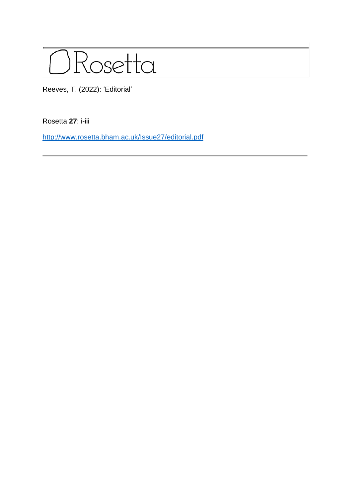

Reeves, T. (2022): 'Editorial'

Rosetta **27**: i-iii

<http://www.rosetta.bham.ac.uk/Issue27/editorial.pdf>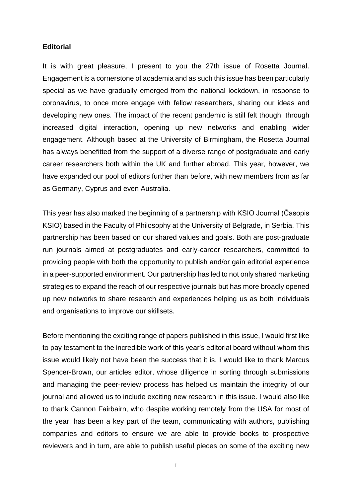## **Editorial**

It is with great pleasure, I present to you the 27th issue of Rosetta Journal. Engagement is a cornerstone of academia and as such this issue has been particularly special as we have gradually emerged from the national lockdown, in response to coronavirus, to once more engage with fellow researchers, sharing our ideas and developing new ones. The impact of the recent pandemic is still felt though, through increased digital interaction, opening up new networks and enabling wider engagement. Although based at the University of Birmingham, the Rosetta Journal has always benefitted from the support of a diverse range of postgraduate and early career researchers both within the UK and further abroad. This year, however, we have expanded our pool of editors further than before, with new members from as far as Germany, Cyprus and even Australia.

This year has also marked the beginning of a partnership with KSIO Journal (Časopis KSIO) based in the Faculty of Philosophy at the University of Belgrade, in Serbia. This partnership has been based on our shared values and goals. Both are post-graduate run journals aimed at postgraduates and early-career researchers, committed to providing people with both the opportunity to publish and/or gain editorial experience in a peer-supported environment. Our partnership has led to not only shared marketing strategies to expand the reach of our respective journals but has more broadly opened up new networks to share research and experiences helping us as both individuals and organisations to improve our skillsets.

Before mentioning the exciting range of papers published in this issue, I would first like to pay testament to the incredible work of this year's editorial board without whom this issue would likely not have been the success that it is. I would like to thank Marcus Spencer-Brown, our articles editor, whose diligence in sorting through submissions and managing the peer-review process has helped us maintain the integrity of our journal and allowed us to include exciting new research in this issue. I would also like to thank Cannon Fairbairn, who despite working remotely from the USA for most of the year, has been a key part of the team, communicating with authors, publishing companies and editors to ensure we are able to provide books to prospective reviewers and in turn, are able to publish useful pieces on some of the exciting new

i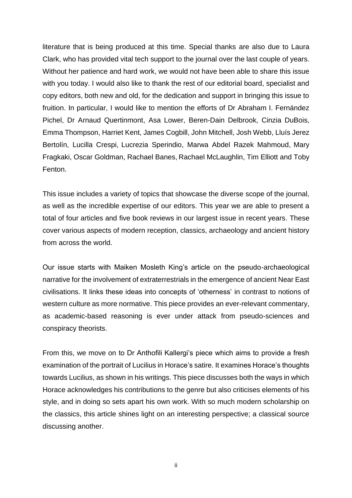literature that is being produced at this time. Special thanks are also due to Laura Clark, who has provided vital tech support to the journal over the last couple of years. Without her patience and hard work, we would not have been able to share this issue with you today. I would also like to thank the rest of our editorial board, specialist and copy editors, both new and old, for the dedication and support in bringing this issue to fruition. In particular, I would like to mention the efforts of Dr Abraham I. Fernández Pichel, Dr Arnaud Quertinmont, Asa Lower, Beren-Dain Delbrook, Cinzia DuBois, Emma Thompson, Harriet Kent, James Cogbill, John Mitchell, Josh Webb, Lluís Jerez Bertolín, Lucilla Crespi, Lucrezia Sperindio, Marwa Abdel Razek Mahmoud, Mary Fragkaki, Oscar Goldman, Rachael Banes, Rachael McLaughlin, Tim Elliott and Toby Fenton.

This issue includes a variety of topics that showcase the diverse scope of the journal, as well as the incredible expertise of our editors. This year we are able to present a total of four articles and five book reviews in our largest issue in recent years. These cover various aspects of modern reception, classics, archaeology and ancient history from across the world.

Our issue starts with Maiken Mosleth King's article on the pseudo-archaeological narrative for the involvement of extraterrestrials in the emergence of ancient Near East civilisations. It links these ideas into concepts of 'otherness' in contrast to notions of western culture as more normative. This piece provides an ever-relevant commentary, as academic-based reasoning is ever under attack from pseudo-sciences and conspiracy theorists.

From this, we move on to Dr Anthofili Kallergi's piece which aims to provide a fresh examination of the portrait of Lucilius in Horace's satire. It examines Horace's thoughts towards Lucilius, as shown in his writings. This piece discusses both the ways in which Horace acknowledges his contributions to the genre but also criticises elements of his style, and in doing so sets apart his own work. With so much modern scholarship on the classics, this article shines light on an interesting perspective; a classical source discussing another.

ii